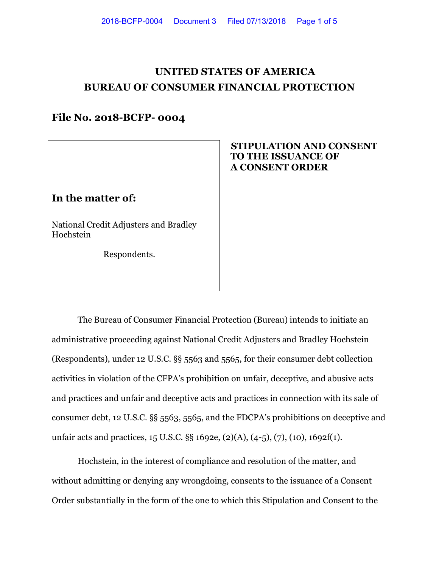# **UNITED STATES OF AMERICA BUREAU OF CONSUMER FINANCIAL PROTECTION**

### **File No. 2018-BCFP- 0004**

## **In the matter of:**

National Credit Adjusters and Bradley Hochstein

Respondents.

#### **STIPULATION AND CONSENT TO THE ISSUANCE OF A CONSENT ORDER**

The Bureau of Consumer Financial Protection (Bureau) intends to initiate an administrative proceeding against National Credit Adjusters and Bradley Hochstein (Respondents), under 12 U.S.C. §§ 5563 and 5565, for their consumer debt collection activities in violation of the CFPA's prohibition on unfair, deceptive, and abusive acts and practices and unfair and deceptive acts and practices in connection with its sale of consumer debt, 12 U.S.C. §§ 5563, 5565, and the FDCPA's prohibitions on deceptive and unfair acts and practices, 15 U.S.C. §§ 1692e, (2)(A), (4-5), (7), (10), 1692f(1).

Hochstein, in the interest of compliance and resolution of the matter, and without admitting or denying any wrongdoing, consents to the issuance of a Consent Order substantially in the form of the one to which this Stipulation and Consent to the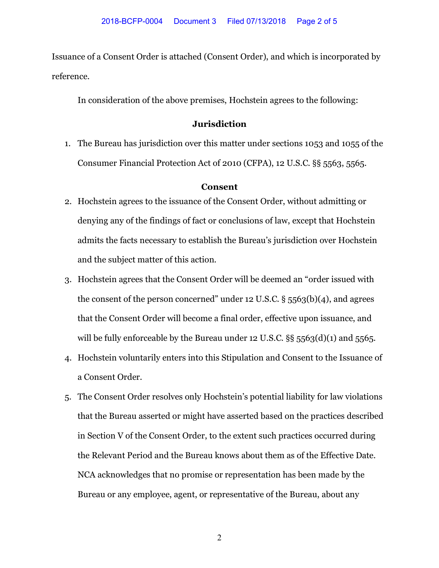Issuance of a Consent Order is attached (Consent Order), and which is incorporated by reference.

In consideration of the above premises, Hochstein agrees to the following:

#### **Jurisdiction**

1. The Bureau has jurisdiction over this matter under sections 1053 and 1055 of the Consumer Financial Protection Act of 2010 (CFPA), 12 U.S.C. §§ 5563, 5565.

#### **Consent**

- 2. Hochstein agrees to the issuance of the Consent Order, without admitting or denying any of the findings of fact or conclusions of law, except that Hochstein admits the facts necessary to establish the Bureau's jurisdiction over Hochstein and the subject matter of this action.
- 3. Hochstein agrees that the Consent Order will be deemed an "order issued with the consent of the person concerned" under 12 U.S.C.  $\S$  5563(b)(4), and agrees that the Consent Order will become a final order, effective upon issuance, and will be fully enforceable by the Bureau under 12 U.S.C. §§ 5563(d)(1) and 5565.
- 4. Hochstein voluntarily enters into this Stipulation and Consent to the Issuance of a Consent Order.
- 5. The Consent Order resolves only Hochstein's potential liability for law violations that the Bureau asserted or might have asserted based on the practices described in Section V of the Consent Order, to the extent such practices occurred during the Relevant Period and the Bureau knows about them as of the Effective Date. NCA acknowledges that no promise or representation has been made by the Bureau or any employee, agent, or representative of the Bureau, about any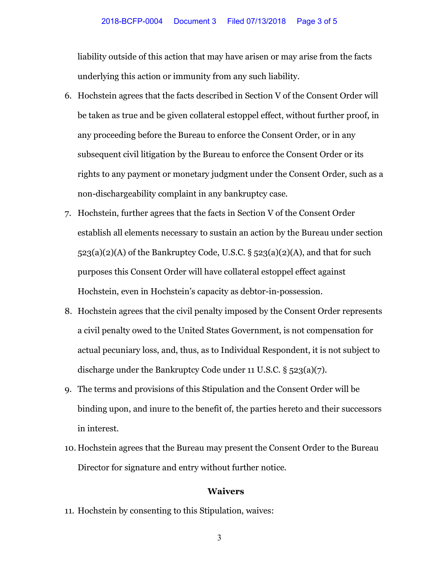liability outside of this action that may have arisen or may arise from the facts underlying this action or immunity from any such liability.

- 6. Hochstein agrees that the facts described in Section V of the Consent Order will be taken as true and be given collateral estoppel effect, without further proof, in any proceeding before the Bureau to enforce the Consent Order, or in any subsequent civil litigation by the Bureau to enforce the Consent Order or its rights to any payment or monetary judgment under the Consent Order, such as a non-dischargeability complaint in any bankruptcy case.
- 7. Hochstein, further agrees that the facts in Section V of the Consent Order establish all elements necessary to sustain an action by the Bureau under section  $523(a)(2)(A)$  of the Bankruptcy Code, U.S.C. §  $523(a)(2)(A)$ , and that for such purposes this Consent Order will have collateral estoppel effect against Hochstein, even in Hochstein's capacity as debtor-in-possession.
- 8. Hochstein agrees that the civil penalty imposed by the Consent Order represents a civil penalty owed to the United States Government, is not compensation for actual pecuniary loss, and, thus, as to Individual Respondent, it is not subject to discharge under the Bankruptcy Code under 11 U.S.C. § 523(a)(7).
- 9. The terms and provisions of this Stipulation and the Consent Order will be binding upon, and inure to the benefit of, the parties hereto and their successors in interest.
- 10. Hochstein agrees that the Bureau may present the Consent Order to the Bureau Director for signature and entry without further notice.

#### **Waivers**

- 11. Hochstein by consenting to this Stipulation, waives:
	- 3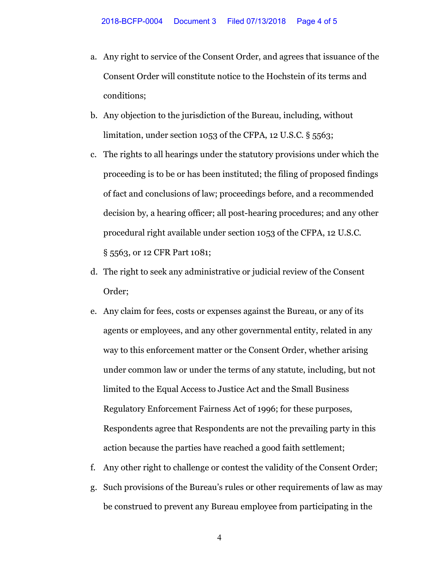- a. Any right to service of the Consent Order, and agrees that issuance of the Consent Order will constitute notice to the Hochstein of its terms and conditions;
- b. Any objection to the jurisdiction of the Bureau, including, without limitation, under section 1053 of the CFPA, 12 U.S.C. § 5563;
- c. The rights to all hearings under the statutory provisions under which the proceeding is to be or has been instituted; the filing of proposed findings of fact and conclusions of law; proceedings before, and a recommended decision by, a hearing officer; all post-hearing procedures; and any other procedural right available under section 1053 of the CFPA, 12 U.S.C. § 5563, or 12 CFR Part 1081;
- d. The right to seek any administrative or judicial review of the Consent Order;
- e. Any claim for fees, costs or expenses against the Bureau, or any of its agents or employees, and any other governmental entity, related in any way to this enforcement matter or the Consent Order, whether arising under common law or under the terms of any statute, including, but not limited to the Equal Access to Justice Act and the Small Business Regulatory Enforcement Fairness Act of 1996; for these purposes, Respondents agree that Respondents are not the prevailing party in this action because the parties have reached a good faith settlement;
- f. Any other right to challenge or contest the validity of the Consent Order;
- g. Such provisions of the Bureau's rules or other requirements of law as may be construed to prevent any Bureau employee from participating in the

4